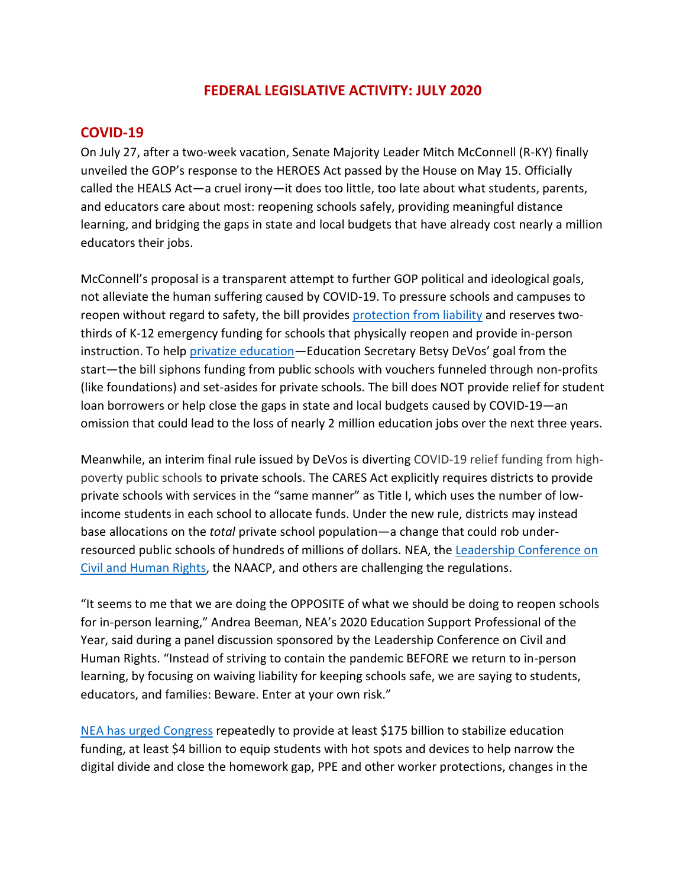## **FEDERAL LEGISLATIVE ACTIVITY: JULY 2020**

#### **COVID-19**

On July 27, after a two-week vacation, Senate Majority Leader Mitch McConnell (R-KY) finally unveiled the GOP's response to the HEROES Act passed by the House on May 15. Officially called the HEALS Act—a cruel irony—it does too little, too late about what students, parents, and educators care about most: reopening schools safely, providing meaningful distance learning, and bridging the gaps in state and local budgets that have already cost nearly a million educators their jobs.

McConnell's proposal is a transparent attempt to further GOP political and ideological goals, not alleviate the human suffering caused by COVID-19. To pressure schools and campuses to reopen without regard to safety, the bill provides [protection from liability](https://educationvotes.nea.org/wp-content/uploads/2020/07/COVID-Liability-one-pager-071520.pdf) and reserves twothirds of K-12 emergency funding for schools that physically reopen and provide in-person instruction. To help [privatize education](https://educationvotes.nea.org/wp-content/uploads/2020/08/COVID-19-privatization-080320.pdf)—Education Secretary Betsy DeVos' goal from the start—the bill siphons funding from public schools with vouchers funneled through non-profits (like foundations) and set-asides for private schools. The bill does NOT provide relief for student loan borrowers or help close the gaps in state and local budgets caused by COVID-19—an omission that could lead to the loss of nearly 2 million education jobs over the next three years.

Meanwhile, an interim final rule issued by DeVos is diverting COVID-19 relief funding from highpoverty public schools to private schools. The CARES Act explicitly requires districts to provide private schools with services in the "same manner" as Title I, which uses the number of lowincome students in each school to allocate funds. Under the new rule, districts may instead base allocations on the *total* private school population—a change that could rob underresourced public schools of hundreds of millions of dollars. NEA, the [Leadership Conference on](https://educationvotes.nea.org/wp-content/uploads/2020/07/LCCR-Title-IV-Interim-Rule-Emer-Aid-Student-Eligibility-071720FINAL.pdf)  [Civil and Human Rights,](https://educationvotes.nea.org/wp-content/uploads/2020/07/LCCR-Title-IV-Interim-Rule-Emer-Aid-Student-Eligibility-071720FINAL.pdf) the NAACP, and others are challenging the regulations.

"It seems to me that we are doing the OPPOSITE of what we should be doing to reopen schools for in-person learning," Andrea Beeman, NEA's 2020 Education Support Professional of the Year, said during a panel discussion sponsored by the Leadership Conference on Civil and Human Rights. "Instead of striving to contain the pandemic BEFORE we return to in-person learning, by focusing on waiving liability for keeping schools safe, we are saying to students, educators, and families: Beware. Enter at your own risk."

[NEA has urged Congress](https://educationvotes.nea.org/wp-content/uploads/2020/07/Senate-COVID-Bill-Letter-072320.pdf) repeatedly to provide at least \$175 billion to stabilize education funding, at least \$4 billion to equip students with hot spots and devices to help narrow the digital divide and close the homework gap, PPE and other worker protections, changes in the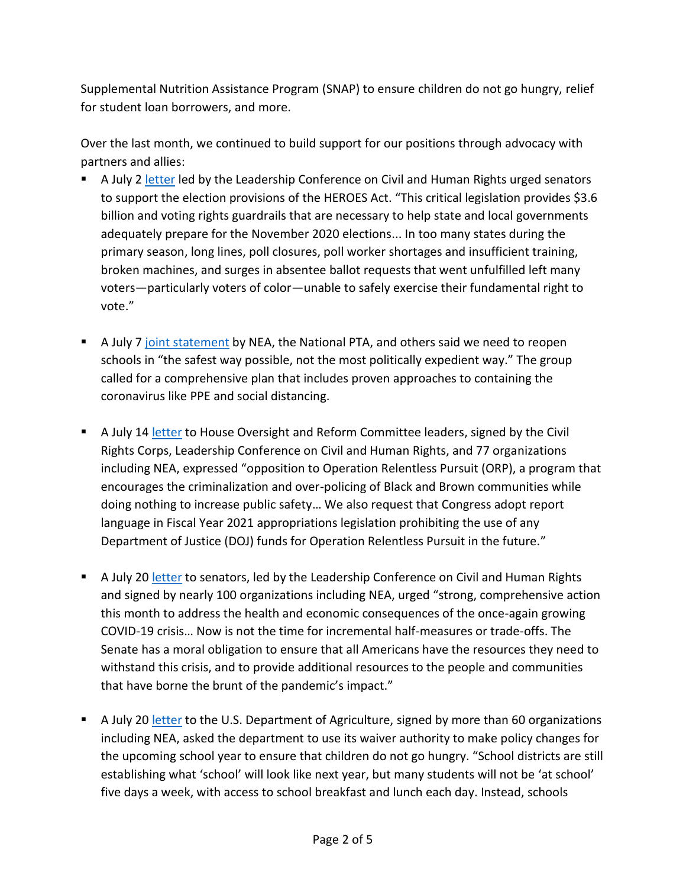Supplemental Nutrition Assistance Program (SNAP) to ensure children do not go hungry, relief for student loan borrowers, and more.

Over the last month, we continued to build support for our positions through advocacy with partners and allies:

- A July 2 [letter](https://educationvotes.nea.org/wp-content/uploads/2020/07/Coalition-letter-in-support-of-Heroes-Act-Election-Provisions.pdf) led by the Leadership Conference on Civil and Human Rights urged senators to support the election provisions of the HEROES Act. "This critical legislation provides \$3.6 billion and voting rights guardrails that are necessary to help state and local governments adequately prepare for the November 2020 elections... In too many states during the primary season, long lines, poll closures, poll worker shortages and insufficient training, broken machines, and surges in absentee ballot requests that went unfulfilled left many voters—particularly voters of color—unable to safely exercise their fundamental right to vote."
- **E** A July 7 [joint statement](http://www.nea.org/home/76362.htm) by NEA, the National PTA, and others said we need to reopen schools in "the safest way possible, not the most politically expedient way." The group called for a comprehensive plan that includes proven approaches to containing the coronavirus like PPE and social distancing.
- A July 14 [letter](https://educationvotes.nea.org/wp-content/uploads/2020/07/LCCR-Final-ORP-Letter-7.14.20.pdf) to House Oversight and Reform Committee leaders, signed by the Civil Rights Corps, Leadership Conference on Civil and Human Rights, and 77 organizations including NEA, expressed "opposition to Operation Relentless Pursuit (ORP), a program that encourages the criminalization and over-policing of Black and Brown communities while doing nothing to increase public safety… We also request that Congress adopt report language in Fiscal Year 2021 appropriations legislation prohibiting the use of any Department of Justice (DOJ) funds for Operation Relentless Pursuit in the future."
- A July 20 [letter](https://educationvotes.nea.org/wp-content/uploads/2020/07/Sign-On-Letter-to-Senate-on-Principles-for-COVID-19-Legislation-7.20.20.pdf) to senators, led by the Leadership Conference on Civil and Human Rights and signed by nearly 100 organizations including NEA, urged "strong, comprehensive action this month to address the health and economic consequences of the once-again growing COVID-19 crisis… Now is not the time for incremental half-measures or trade-offs. The Senate has a moral obligation to ensure that all Americans have the resources they need to withstand this crisis, and to provide additional resources to the people and communities that have borne the brunt of the pandemic's impact."
- A July 20 [letter](https://educationvotes.nea.org/wp-content/uploads/2020/07/Final-Waiver-Letter-7-21.pdf) to the U.S. Department of Agriculture, signed by more than 60 organizations including NEA, asked the department to use its waiver authority to make policy changes for the upcoming school year to ensure that children do not go hungry. "School districts are still establishing what 'school' will look like next year, but many students will not be 'at school' five days a week, with access to school breakfast and lunch each day. Instead, schools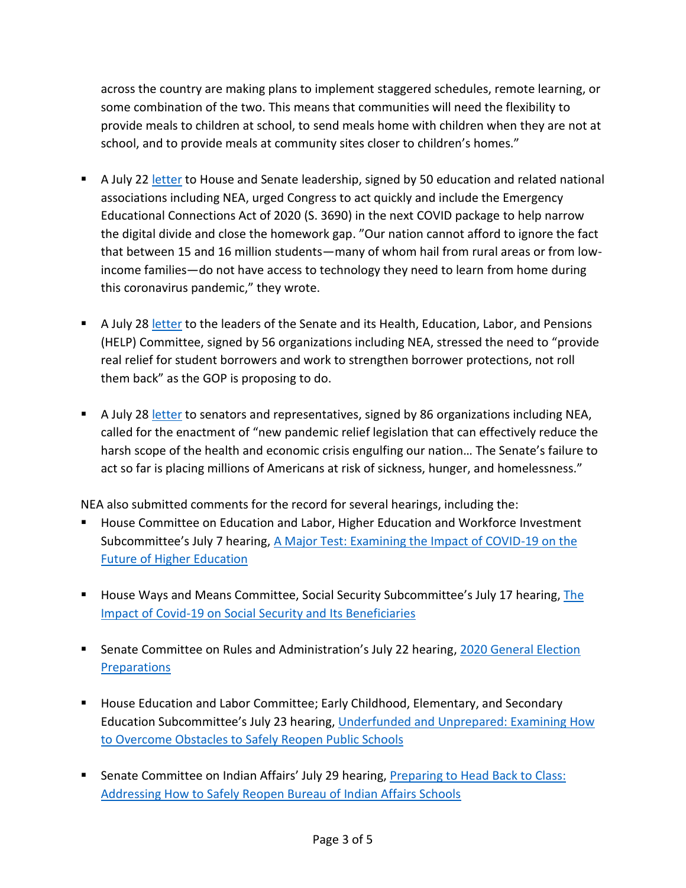across the country are making plans to implement staggered schedules, remote learning, or some combination of the two. This means that communities will need the flexibility to provide meals to children at school, to send meals home with children when they are not at school, and to provide meals at community sites closer to children's homes."

- A July 22 [letter](https://educationvotes.nea.org/wp-content/uploads/2020/07/Homework-Gap-Coalition-letter-to-Congress-7.22.20.pdf) to House and Senate leadership, signed by 50 education and related national associations including NEA, urged Congress to act quickly and include the Emergency Educational Connections Act of 2020 (S. 3690) in the next COVID package to help narrow the digital divide and close the homework gap. "Our nation cannot afford to ignore the fact that between 15 and 16 million students—many of whom hail from rural areas or from lowincome families—do not have access to technology they need to learn from home during this coronavirus pandemic," they wrote.
- **■** A July 28 [letter](https://educationvotes.nea.org/wp-content/uploads/2020/07/Response-Letter-to-Safely-Back-to-School-and-Back-to-Work-Act.pdf) to the leaders of the Senate and its Health, Education, Labor, and Pensions (HELP) Committee, signed by 56 organizations including NEA, stressed the need to "provide real relief for student borrowers and work to strengthen borrower protections, not roll them back" as the GOP is proposing to do.
- A July 28 [letter](https://educationvotes.nea.org/wp-content/uploads/2020/07/COVID-19-4.0-National-Sign-On-Letter-CHN-July-2020.pdf) to senators and representatives, signed by 86 organizations including NEA, called for the enactment of "new pandemic relief legislation that can effectively reduce the harsh scope of the health and economic crisis engulfing our nation… The Senate's failure to act so far is placing millions of Americans at risk of sickness, hunger, and homelessness."

NEA also submitted comments for the record for several hearings, including the:

- House Committee on Education and Labor, Higher Education and Workforce Investment Subcommittee's July 7 hearing, A [Major Test: Examining the Impact of COVID-19 on the](https://educationvotes.nea.org/wp-content/uploads/2020/07/Ed-and-Labor-Subcomm-hrg-Covid-impact-on-future-higher-ed-070620.pdf)  [Future of Higher Education](https://educationvotes.nea.org/wp-content/uploads/2020/07/Ed-and-Labor-Subcomm-hrg-Covid-impact-on-future-higher-ed-070620.pdf)
- **E** House Ways and Means Committee, Social Security Subcommittee's July 17 hearing, The [Impact of Covid-19 on Social Security and Its Beneficiaries](https://educationvotes.nea.org/wp-content/uploads/2020/07/Social-Security-hrg-071720.pdf)
- Senate Committee on Rules and Administration's July 22 hearing, 2020 General Election **[Preparations](https://educationvotes.nea.org/wp-content/uploads/2020/07/Sen.-Rules-and-Admin-Comm-Hrg-on-Elections-072020.pdf)**
- House Education and Labor Committee; Early Childhood, Elementary, and Secondary Education Subcommittee's July 23 hearing, [Underfunded and Unprepared: Examining How](https://educationvotes.nea.org/wp-content/uploads/2020/07/Reopening-Schools-E-hrg-072320.pdf)  [to Overcome Obstacles to Safely Reopen Public Schools](https://educationvotes.nea.org/wp-content/uploads/2020/07/Reopening-Schools-E-hrg-072320.pdf)
- Senate Committee on Indian Affairs' July 29 hearing, Preparing to Head Back to Class: [Addressing How to Safely Reopen Bureau of Indian Affairs Schools](https://educationvotes.nea.org/wp-content/uploads/2020/07/Reopening-Schools-Indian-hrg-072920.pdf)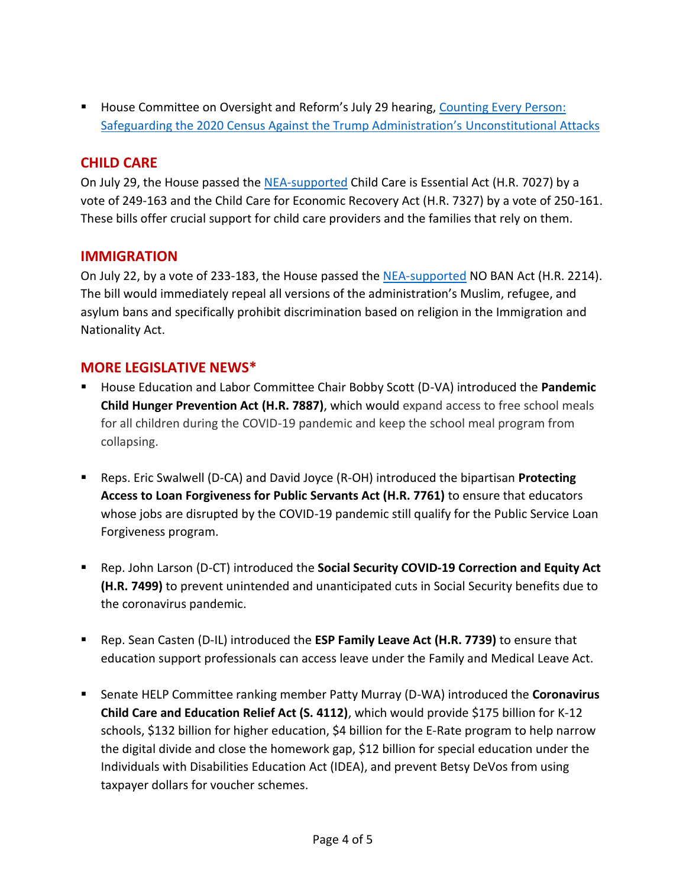■ House Committee on Oversight and Reform's July 29 hearing, Counting Every Person: [Safeguarding the 2020 Census Against the Trump Administration's](https://educationvotes.nea.org/wp-content/uploads/2020/07/House-Oversight-Comm-Safeguarding-Census-H-072820.pdf) Unconstitutional Attacks

# **CHILD CARE**

On July 29, the House passed the [NEA-supported](https://educationvotes.nea.org/wp-content/uploads/2020/07/Child-Care-Bills-House-072720.pdf) Child Care is Essential Act (H.R. 7027) by a vote of 249-163 and the Child Care for Economic Recovery Act (H.R. 7327) by a vote of 250-161. These bills offer crucial support for child care providers and the families that rely on them.

### **IMMIGRATION**

On July 22, by a vote of 233-183, the House passed th[e NEA-supported](https://educationvotes.nea.org/wp-content/uploads/2020/07/NO-BAN-Act-072020.pdf) NO BAN Act (H.R. 2214). The bill would immediately repeal all versions of the administration's Muslim, refugee, and asylum bans and specifically prohibit discrimination based on religion in the Immigration and Nationality Act.

### **MORE LEGISLATIVE NEWS\***

- House Education and Labor Committee Chair Bobby Scott (D-VA) introduced the Pandemic **Child Hunger Prevention Act (H.R. 7887)**, which would expand access to free school meals for all children during the COVID-19 pandemic and keep the school meal program from collapsing.
- Reps. Eric Swalwell (D-CA) and David Joyce (R-OH) introduced the bipartisan **Protecting Access to Loan Forgiveness for Public Servants Act (H.R. 7761)** to ensure that educators whose jobs are disrupted by the COVID-19 pandemic still qualify for the Public Service Loan Forgiveness program.
- Rep. John Larson (D-CT) introduced the **Social Security COVID-19 Correction and Equity Act (H.R. 7499)** to prevent unintended and unanticipated cuts in Social Security benefits due to the coronavirus pandemic.
- Rep. Sean Casten (D-IL) introduced the **ESP Family Leave Act (H.R. 7739)** to ensure that education support professionals can access leave under the Family and Medical Leave Act.
- Senate HELP Committee ranking member Patty Murray (D-WA) introduced the **Coronavirus Child Care and Education Relief Act (S. 4112)**, which would provide \$175 billion for K-12 schools, \$132 billion for higher education, \$4 billion for the E-Rate program to help narrow the digital divide and close the homework gap, \$12 billion for special education under the Individuals with Disabilities Education Act (IDEA), and prevent Betsy DeVos from using taxpayer dollars for voucher schemes.